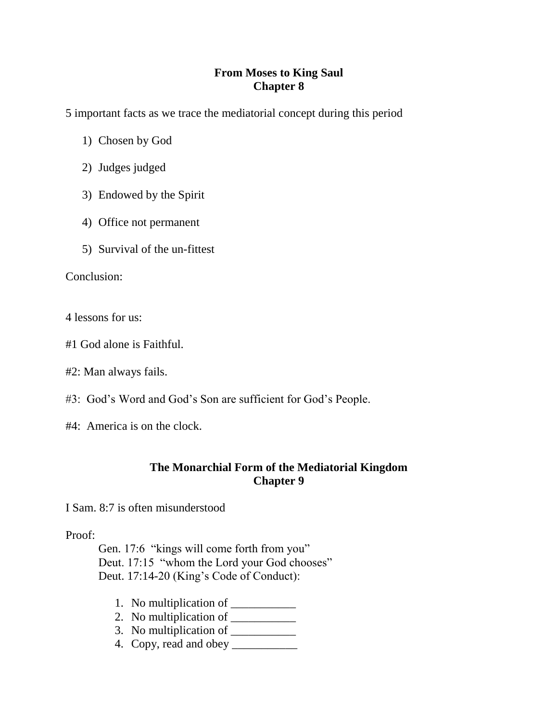## **From Moses to King Saul Chapter 8**

5 important facts as we trace the mediatorial concept during this period

- 1) Chosen by God
- 2) Judges judged
- 3) Endowed by the Spirit
- 4) Office not permanent
- 5) Survival of the un-fittest

Conclusion:

4 lessons for us:

- #1 God alone is Faithful.
- #2: Man always fails.
- #3: God's Word and God's Son are sufficient for God's People.
- #4: America is on the clock.

## **The Monarchial Form of the Mediatorial Kingdom Chapter 9**

I Sam. 8:7 is often misunderstood

## Proof:

Gen. 17:6 "kings will come forth from you" Deut. 17:15 "whom the Lord your God chooses" Deut. 17:14-20 (King's Code of Conduct):

- 1. No multiplication of \_\_\_\_\_\_\_\_\_\_\_
- 2. No multiplication of  $\frac{1}{\sqrt{2\pi}}$
- 3. No multiplication of  $\frac{1}{\sqrt{1-\frac{1}{\sqrt{1-\frac{1}{\sqrt{1-\frac{1}{\sqrt{1-\frac{1}{\sqrt{1-\frac{1}{\sqrt{1-\frac{1}{\sqrt{1-\frac{1}{\sqrt{1-\frac{1}{\sqrt{1-\frac{1}{\sqrt{1-\frac{1}{\sqrt{1-\frac{1}{\sqrt{1-\frac{1}{\sqrt{1-\frac{1}{\sqrt{1-\frac{1}{\sqrt{1-\frac{1}{\sqrt{1-\frac{1}{\sqrt{1-\frac{1}{\sqrt{1-\frac{1}{\sqrt{1-\frac{1}{\sqrt{1-\frac{1}{\sqrt{1-\frac{1}{\sqrt$
- 4. Copy, read and obey \_\_\_\_\_\_\_\_\_\_\_